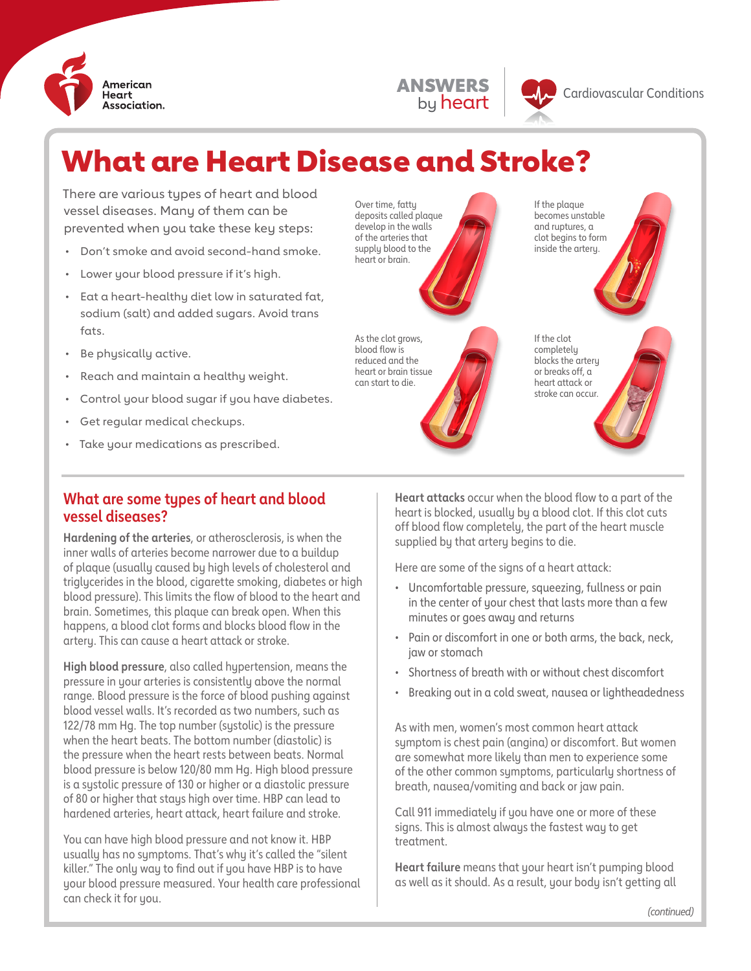

ANSWERS by heart

# What are Heart Disease and Stroke?

There are various types of heart and blood vessel diseases. Many of them can be prevented when you take these key steps:

- Don't smoke and avoid second-hand smoke.
- Lower your blood pressure if it's high.
- Eat a heart-healthy diet low in saturated fat, sodium (salt) and added sugars. Avoid trans fats.
- Be physically active.
- Reach and maintain a healthy weight.
- Control your blood sugar if you have diabetes.
- Get regular medical checkups.
- Take your medications as prescribed.

#### **What are some types of heart and blood vessel diseases?**

**Hardening of the arteries**, or atherosclerosis, is when the inner walls of arteries become narrower due to a buildup of plaque (usually caused by high levels of cholesterol and triglycerides in the blood, cigarette smoking, diabetes or high blood pressure). This limits the flow of blood to the heart and brain. Sometimes, this plaque can break open. When this happens, a blood clot forms and blocks blood flow in the artery. This can cause a heart attack or stroke.

**High blood pressure**, also called hypertension, means the pressure in your arteries is consistently above the normal range. Blood pressure is the force of blood pushing against blood vessel walls. It's recorded as two numbers, such as 122/78 mm Hg. The top number (systolic) is the pressure when the heart beats. The bottom number (diastolic) is the pressure when the heart rests between beats. Normal blood pressure is below 120/80 mm Hg. High blood pressure is a systolic pressure of 130 or higher or a diastolic pressure of 80 or higher that stays high over time. HBP can lead to hardened arteries, heart attack, heart failure and stroke.

You can have high blood pressure and not know it. HBP usually has no symptoms. That's why it's called the "silent killer." The only way to find out if you have HBP is to have your blood pressure measured. Your health care professional can check it for you.

Over time, fatty deposits called plaque develop in the walls of the arteries that supply blood to the heart or brain.

As the clot grows, blood flow is reduced and the heart or brain tissue can start to die.

If the plaque becomes unstable and ruptures, a clot begins to form inside the artery.



**Heart attacks** occur when the blood flow to a part of the heart is blocked, usually by a blood clot. If this clot cuts off blood flow completely, the part of the heart muscle supplied by that artery begins to die.

Here are some of the signs of a heart attack:

- Uncomfortable pressure, squeezing, fullness or pain in the center of your chest that lasts more than a few minutes or goes away and returns
- Pain or discomfort in one or both arms, the back, neck, jaw or stomach
- Shortness of breath with or without chest discomfort
- Breaking out in a cold sweat, nausea or lightheadedness

As with men, women's most common heart attack symptom is chest pain (angina) or discomfort. But women are somewhat more likely than men to experience some of the other common symptoms, particularly shortness of breath, nausea/vomiting and back or jaw pain.

Call 911 immediately if you have one or more of these signs. This is almost always the fastest way to get treatment.

**Heart failure** means that your heart isn't pumping blood as well as it should. As a result, your body isn't getting all